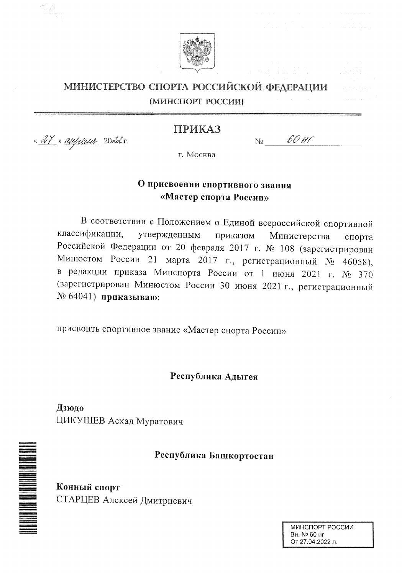

## МИНИСТЕРСТВО СПОРТА РОССИЙСКОЙ ФЕДЕРАЦИИ (МИНСПОРТ РОССИИ)

## ПРИКАЗ

<u>« 27 » augusel 20da r.</u>

60 HT  $N_{2}$ 

г. Москва

# О присвоении спортивного звания «Мастер спорта России»

В соответствии с Положением о Единой всероссийской спортивной классификации, утвержденным приказом Министерства спорта Российской Федерации от 20 февраля 2017 г. № 108 (зарегистрирован Минюстом России 21 марта 2017 г., регистрационный № 46058), в редакции приказа Минспорта России от 1 июня 2021 г. № 370 (зарегистрирован Минюстом России 30 июня 2021 г., регистрационный № 64041) приказываю:

присвоить спортивное звание «Мастер спорта России»

## Республика Адыгея

Дзюдо ЦИКУШЕВ Асхад Муратович

Республика Башкортостан

Конный спорт СТАРЦЕВ Алексей Дмитриевич

**THE MANUFACTURE OF THE SECOND PARTIES** 

МИНСПОРТ РОССИИ Вн. № 60 нг От 27.04.2022 л.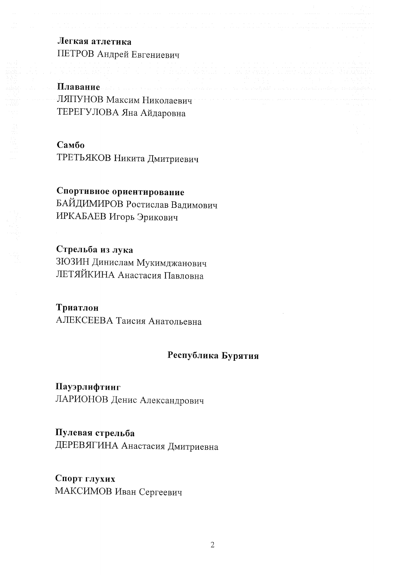# Легкая атлетика ПЕТРОВ Андрей Евгениевич

Плавание ЛЯПУНОВ Максим Николаевич ТЕРЕГУЛОВА Яна Айдаровна

### Самбо

ТРЕТЬЯКОВ Никита Дмитриевич

# Спортивное ориентирование

БАЙДИМИРОВ Ростислав Вадимович ИРКАБАЕВ Игорь Эрикович

# Стрельба из лука

ЗЮЗИН Динислам Мукимджанович ЛЕТЯЙКИНА Анастасия Павловна

## Триатлон

АЛЕКСЕЕВА Таисия Анатольевна

# Республика Бурятия

Пауэрлифтинг ЛАРИОНОВ Денис Александрович

## Пулевая стрельба

ДЕРЕВЯГИНА Анастасия Дмитриевна

## Спорт глухих МАКСИМОВ Иван Сергеевич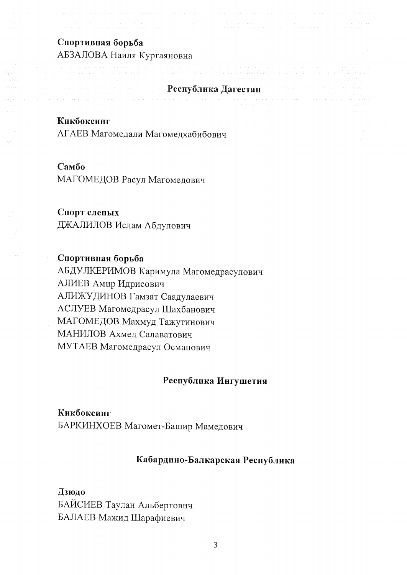## Спортивная борьба

АБЗАЛОВА Наиля Кургаяновна

## Республика Дагестан

Кикбоксинг

АГАЕВ Магомедали Магомедхабибович

## Самбо

МАГОМЕДОВ Расул Магомедович

## Спорт слепых

ДЖАЛИЛОВ Ислам Абдулович

## Спортивная борьба

АБДУЛКЕРИМОВ Каримула Магомедрасулович АЛИЕВ Амир Идрисович АЛИЖУДИНОВ Гамзат Саадулаевич АСЛУЕВ Магомедрасул Шахбанович МАГОМЕДОВ Махмуд Тажутинович МАНИЛОВ Ахмед Салаватович МУТАЕВ Магомедрасул Османович

## Республика Ингушетия

### Кикбоксинг

БАРКИНХОЕВ Магомет-Башир Мамедович

### Кабардино-Балкарская Республика

#### Дзюдо

БАЙСИЕВ Таулан Альбертович БАЛАЕВ Мажид Шарафиевич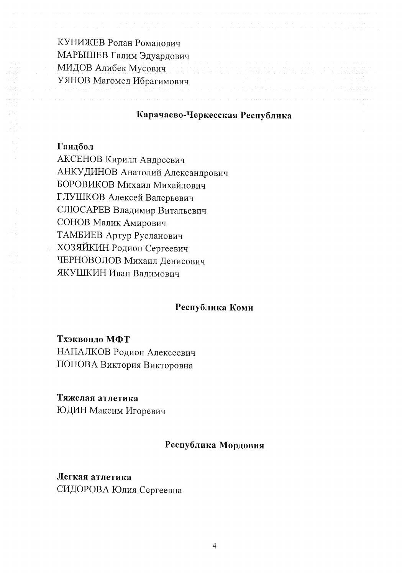КУНИЖЕВ Ролан Романович МАРЫШЕВ Галим Эдуардович МИДОВ Алибек Мусович УЯНОВ Магомед Ибрагимович

#### Карачаево-Черкесская Республика

#### Гандбол

АКСЕНОВ Кирилл Андреевич АНКУДИНОВ Анатолий Александрович БОРОВИКОВ Михаил Михайлович ГЛУШКОВ Алексей Валерьевич СЛЮСАРЕВ Владимир Витальевич СОНОВ Малик Амирович ТАМБИЕВ Артур Русланович ХОЗЯЙКИН Родион Сергеевич ЧЕРНОВОЛОВ Михаил Денисович ЯКУШКИН Иван Вадимович

#### Республика Коми

#### Тхэквондо МФТ

НАПАЛКОВ Родион Алексеевич ПОПОВА Виктория Викторовна

#### Тяжелая атлетика

ЮДИН Максим Игоревич

#### Республика Мордовия

## Легкая атлетика СИДОРОВА Юлия Сергеевна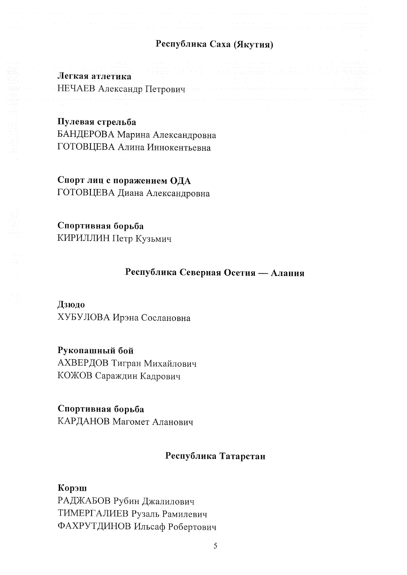# Республика Саха (Якутия)

Легкая атлетика НЕЧАЕВ Александр Петрович

#### Пулевая стрельба

БАНДЕРОВА Марина Александровна ГОТОВЦЕВА Алина Иннокентьевна

Спорт лиц с поражением ОДА ГОТОВЦЕВА Диана Александровна

Спортивная борьба КИРИЛЛИН Петр Кузьмич

# Республика Северная Осетия - Алания

#### Дзюдо

ХУБУЛОВА Ирэна Сослановна

### Рукопашный бой

АХВЕРДОВ Тигран Михайлович КОЖОВ Сараждин Кадрович

## Спортивная борьба

КАРДАНОВ Магомет Аланович

## Республика Татарстан

#### Корэш

РАДЖАБОВ Рубин Джалилович ТИМЕРГАЛИЕВ Рузаль Рамилевич ФАХРУТДИНОВ Ильсаф Робертович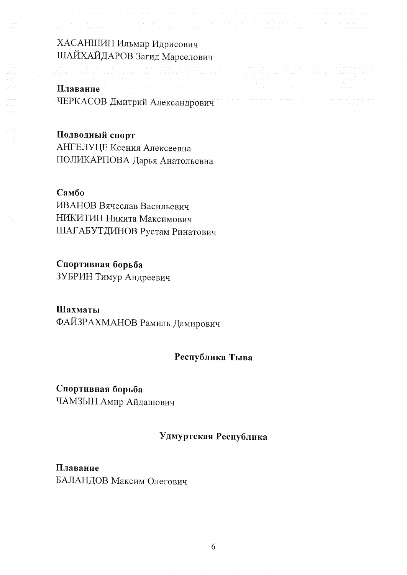ХАСАНШИН Ильмир Идрисович ШАЙХАЙДАРОВ Загид Марселович

# Плавание ЧЕРКАСОВ Дмитрий Александрович

## Подводный спорт

АНГЕЛУЦЕ Ксения Алексеевна ПОЛИКАРПОВА Дарья Анатольевна

## Самбо

ИВАНОВ Вячеслав Васильевич НИКИТИН Никита Максимович ШАГАБУТДИНОВ Рустам Ринатович

## Спортивная борьба

ЗУБРИН Тимур Андреевич

## Шахматы

ФАЙЗРАХМАНОВ Рамиль Дамирович

## Республика Тыва

Спортивная борьба ЧАМЗЫН Амир Айдашович

## Удмуртская Республика

Плавание БАЛАНДОВ Максим Олегович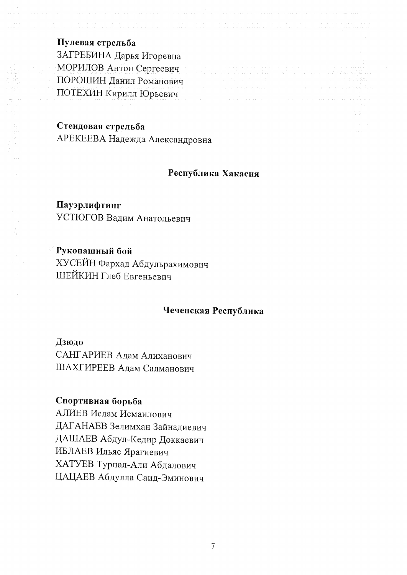## Пулевая стрельба

ЗАГРЕБИНА Дарья Игоревна МОРИЛОВ Антон Сергеевич ПОРОШИН Данил Романович ПОТЕХИН Кирилл Юрьевич

### Стендовая стрельба

АРЕКЕЕВА Надежда Александровна

#### Республика Хакасия

## Пауэрлифтинг УСТЮГОВ Вадим Анатольевич

# Рукопашный бой ХУСЕЙН Фархад Абдульрахимович ШЕЙКИН Глеб Евгеньевич

# Чеченская Республика

Дзюдо САНГАРИЕВ Адам Алиханович ШАХГИРЕЕВ Адам Салманович

## Спортивная борьба

АЛИЕВ Ислам Исмаилович ДАГАНАЕВ Зелимхан Зайнадиевич ДАШАЕВ Абдул-Кедир Доккаевич ИБЛАЕВ Ильяс Ярагиевич ХАТУЕВ Турпал-Али Абдалович ЦАЦАЕВ Абдулла Саид-Эминович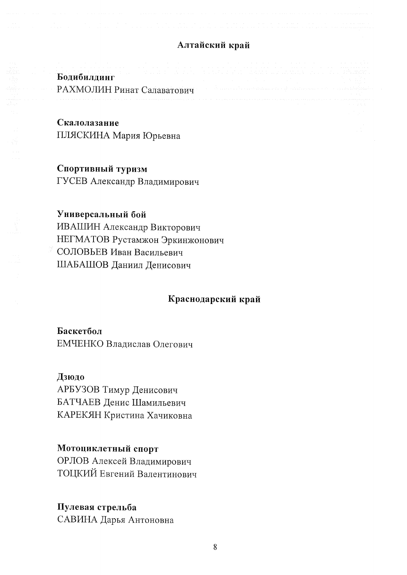## Алтайский край

#### Бодибилдинг

РАХМОЛИН Ринат Салаватович

#### Скалолазание

ПЛЯСКИНА Мария Юрьевна

#### Спортивный туризм

ГУСЕВ Александр Владимирович

#### Универсальный бой

ИВАШИН Александр Викторович НЕГМАТОВ Рустамжон Эркинжонович СОЛОВЬЕВ Иван Васильевич ШАБАШОВ Даниил Денисович

#### Краснодарский край

### Баскетбол

ЕМЧЕНКО Владислав Олегович

#### Дзюдо

АРБУЗОВ Тимур Денисович БАТЧАЕВ Денис Шамильевич КАРЕКЯН Кристина Хачиковна

#### Мотоциклетный спорт

ОРЛОВ Алексей Владимирович ТОЦКИЙ Евгений Валентинович

#### Пулевая стрельба

САВИНА Дарья Антоновна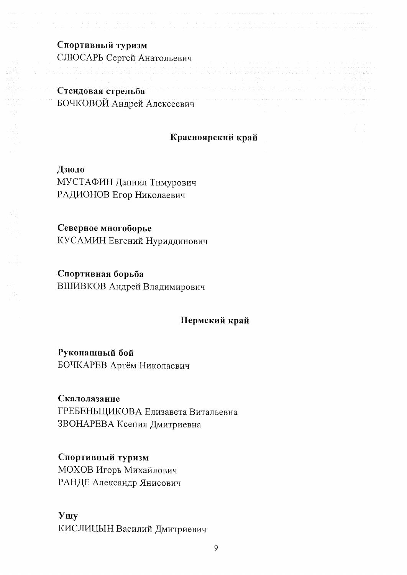Спортивный туризм СЛЮСАРЬ Сергей Анатольевич

# Стендовая стрельба БОЧКОВОЙ Андрей Алексеевич

## Красноярский край

Дзюдо МУСТАФИН Даниил Тимурович РАДИОНОВ Егор Николаевич

Северное многоборье КУСАМИН Евгений Нуриддинович

Спортивная борьба ВШИВКОВ Андрей Владимирович

### Пермский край

Рукопашный бой БОЧКАРЕВ Артём Николаевич

Скалолазание ГРЕБЕНЬЩИКОВА Елизавета Витальевна ЗВОНАРЕВА Ксения Дмитриевна

Спортивный туризм МОХОВ Игорь Михайлович РАНДЕ Александр Янисович

**Y**uy КИСЛИЦЫН Василий Дмитриевич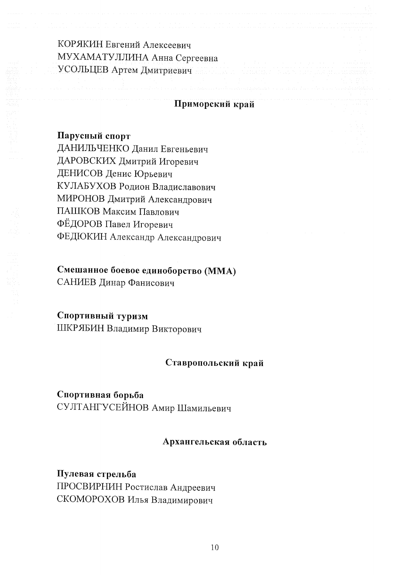КОРЯКИН Евгений Алексеевич МУХАМАТУЛЛИНА Анна Сергеевна УСОЛЬЦЕВ Артем Дмитриевич

#### Приморский край

Парусный спорт ДАНИЛЬЧЕНКО Данил Евгеньевич ДАРОВСКИХ Дмитрий Игоревич ДЕНИСОВ Денис Юрьевич КУЛАБУХОВ Родион Владиславович МИРОНОВ Дмитрий Александрович ПАШКОВ Максим Павлович ФЁДОРОВ Павел Игоревич ФЕДЮКИН Александр Александрович

# Смешанное боевое единоборство (ММА)

САНИЕВ Динар Фанисович

## Спортивный туризм

ШКРЯБИН Владимир Викторович

#### Ставропольский край

## Спортивная борьба СУЛТАНГУСЕЙНОВ Амир Шамильевич

### Архангельская область

# Пулевая стрельба ПРОСВИРНИН Ростислав Андреевич СКОМОРОХОВ Илья Владимирович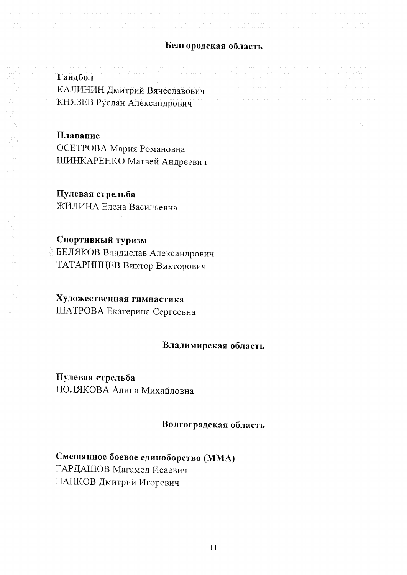## Белгородская область

Гандбол КАЛИНИН Дмитрий Вячеславович КНЯЗЕВ Руслан Александрович

#### Плавание

ОСЕТРОВА Мария Романовна ШИНКАРЕНКО Матвей Андреевич

## Пулевая стрельба

ЖИЛИНА Елена Васильевна

# Спортивный туризм

БЕЛЯКОВ Владислав Александрович ТАТАРИНЦЕВ Виктор Викторович

# Художественная гимнастика

ШАТРОВА Екатерина Сергеевна

#### Владимирская область

# Пулевая стрельба

ПОЛЯКОВА Алина Михайловна

### Волгоградская область

# Смешанное боевое единоборство (ММА) ГАРДАШОВ Магамед Исаевич ПАНКОВ Дмитрий Игоревич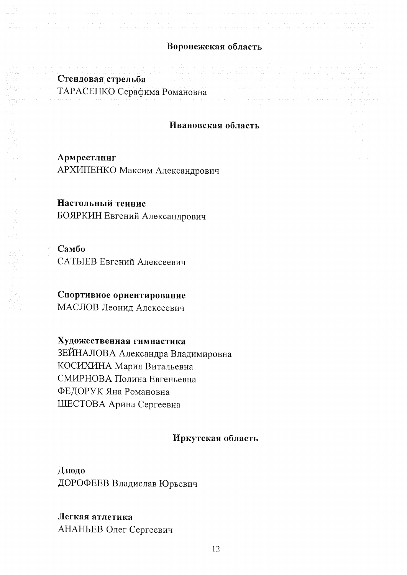#### Воронежская область

## Стендовая стрельба

ТАРАСЕНКО Серафима Романовна

#### Ивановская область

Армрестлинг АРХИПЕНКО Максим Александрович

### Настольный теннис

БОЯРКИН Евгений Александрович

#### Самбо

САТЫЕВ Евгений Алексеевич

## Спортивное ориентирование

МАСЛОВ Леонид Алексеевич

### Художественная гимнастика

ЗЕЙНАЛОВА Александра Владимировна КОСИХИНА Мария Витальевна СМИРНОВА Полина Евгеньевна ФЕДОРУК Яна Романовна ШЕСТОВА Арина Сергеевна

## Иркутская область

Дзюдо ДОРОФЕЕВ Владислав Юрьевич

## Легкая атлетика

АНАНЬЕВ Олег Сергеевич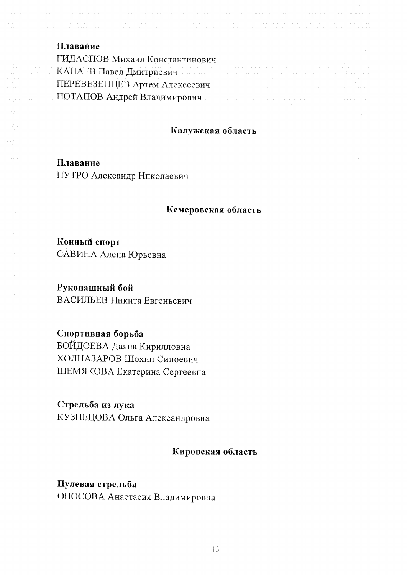| Плавание                                                           |  |
|--------------------------------------------------------------------|--|
| ГИДАСПОВ Михаил Константинович                                     |  |
| КАПАЕВ Павел Дмитриевич по полно политика и политика и по политика |  |
| ПЕРЕВЕЗЕНЦЕВ Артем Алексеевич                                      |  |
| ПОТАПОВ Андрей Владимирович                                        |  |
|                                                                    |  |

#### Калужская область

Плавание ПУТРО Александр Николаевич

#### Кемеровская область

Конный спорт САВИНА Алена Юрьевна

Рукопашный бой ВАСИЛЬЕВ Никита Евгеньевич

Спортивная борьба БОЙДОЕВА Даяна Кирилловна ХОЛНАЗАРОВ Шохин Синоевич ШЕМЯКОВА Екатерина Сергеевна

Стрельба из лука КУЗНЕЦОВА Ольга Александровна

### Кировская область

Пулевая стрельба ОНОСОВА Анастасия Владимировна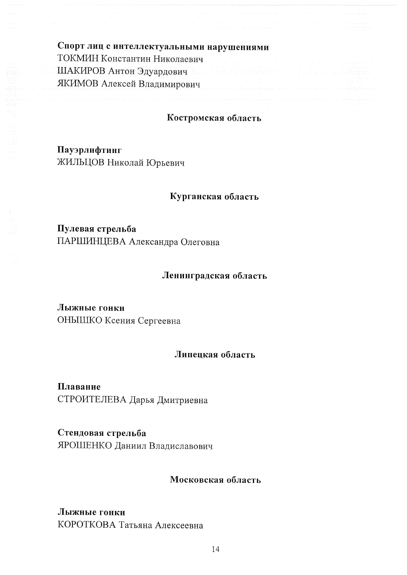| Спорт лиц с интеллектуальными нарушениями                         |                                                                 |                                                                                                      |
|-------------------------------------------------------------------|-----------------------------------------------------------------|------------------------------------------------------------------------------------------------------|
| ТОКМИН Константин Николаевич                                      |                                                                 |                                                                                                      |
| ШАКИРОВ Антон Эдуардович императоров и последников и политических |                                                                 |                                                                                                      |
| ЯКИМОВ Алексей Владимирович                                       | a di kacamatan ing kacamatan sa kacamatan ing Kabupatén Bangung | the company of the company of the company<br>the company's company's com-<br>the company of the com- |
|                                                                   |                                                                 | the contract of the contract of the con-<br>the company's company's and                              |

## Костромская область

Пауэрлифтинг ЖИЛЬЦОВ Николай Юрьевич

#### Курганская область

Пулевая стрельба ПАРШИНЦЕВА Александра Олеговна

# Ленинградская область

Лыжные гонки ОНЫШКО Ксения Сергеевна

#### Липецкая область

Плавание СТРОИТЕЛЕВА Дарья Дмитриевна

Стендовая стрельба ЯРОШЕНКО Даниил Владиславович

#### Московская область

## Лыжные гонки КОРОТКОВА Татьяна Алексеевна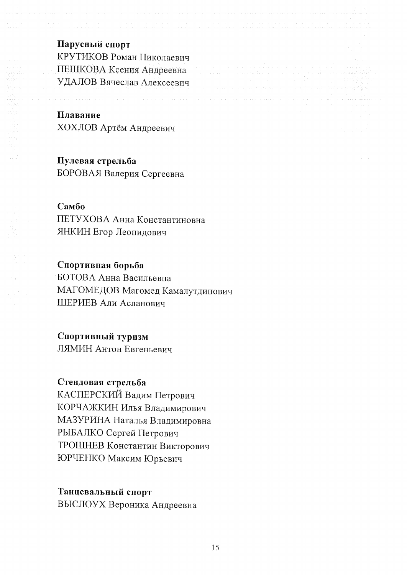### Парусный спорт

КРУТИКОВ Роман Николаевич ПЕШКОВА Ксения Андреевна УДАЛОВ Вячеслав Алексеевич

Плавание ХОХЛОВ Артём Андреевич

Пулевая стрельба БОРОВАЯ Валерия Сергеевна

## Самбо

ПЕТУХОВА Анна Константиновна ЯНКИН Егор Леонидович

#### Спортивная борьба

БОТОВА Анна Васильевна МАГОМЕДОВ Магомед Камалутдинович ШЕРИЕВ Али Асланович

#### Спортивный туризм

ЛЯМИН Антон Евгеньевич

## Стендовая стрельба

КАСПЕРСКИЙ Вадим Петрович КОРЧАЖКИН Илья Владимирович МАЗУРИНА Наталья Владимировна РЫБАЛКО Сергей Петрович ТРОШНЕВ Константин Викторович ЮРЧЕНКО Максим Юрьевич

#### Танцевальный спорт

ВЫСЛОУХ Вероника Андреевна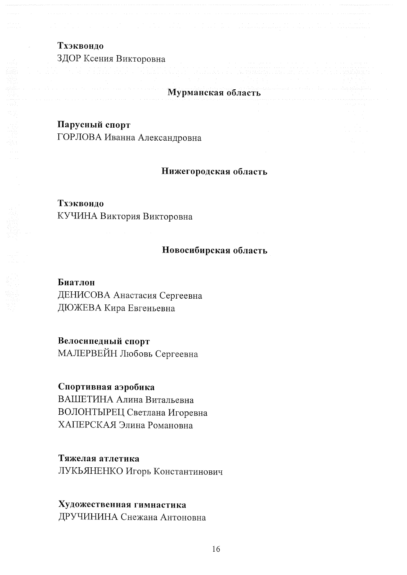# Тхэквондо ЗДОР Ксения Викторовна

## Мурманская область

## Парусный спорт

ГОРЛОВА Иванна Александровна

#### Нижегородская область

#### Тхэквондо

КУЧИНА Виктория Викторовна

### Новосибирская область

### Биатлон

ДЕНИСОВА Анастасия Сергеевна ДЮЖЕВА Кира Евгеньевна

### Велосипедный спорт

МАЛЕРВЕЙН Любовь Сергеевна

### Спортивная аэробика

ВАШЕТИНА Алина Витальевна ВОЛОНТЫРЕЦ Светлана Игоревна ХАПЕРСКАЯ Элина Романовна

### Тяжелая атлетика

ЛУКЬЯНЕНКО Игорь Константинович

## Художественная гимнастика

ДРУЧИНИНА Снежана Антоновна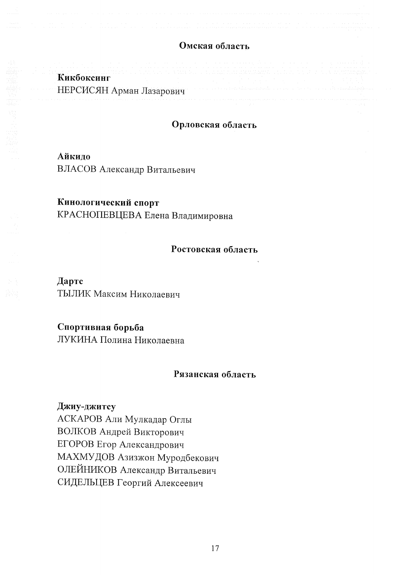### Омская область

| a a canal and the angle of a canal and a canal and a canal and a canal and and a canal and a canal and a canal                                                                                                                                                                                                                                                 |                                                           |                                                                                                 |  |                          |
|----------------------------------------------------------------------------------------------------------------------------------------------------------------------------------------------------------------------------------------------------------------------------------------------------------------------------------------------------------------|-----------------------------------------------------------|-------------------------------------------------------------------------------------------------|--|--------------------------|
| a provided the extended of the contract of the second contract of the contract of the contract of the contract of the contract of the contract of the contract of the contract of the contract of the contract of the contract<br>d <u>e A</u> rthur (norman mar and no hair na hair na haifi 25. no na man mara matamata ng amang na hair na hair ng mambaban |                                                           |                                                                                                 |  |                          |
| Кикбоксинг                                                                                                                                                                                                                                                                                                                                                     | アンティー ちょうしょう かいしょう しゅうしょう しゅうしょう しゅうしょう しゅうしょう しゅうしょう あいし | the contract of the contract of the contract of the contract of the contract of the contract of |  |                          |
| НЕРСИСЯН Арман Лазарович                                                                                                                                                                                                                                                                                                                                       |                                                           |                                                                                                 |  | the contract of the con- |
| . A CARLO CARLO CO CARLO CARLO CARLO CARLO CARLO CARLO CARLO CARLO CARLO CON CARLO CARLO CARLO CON CONTRADOREDA                                                                                                                                                                                                                                                |                                                           |                                                                                                 |  |                          |

## Орловская область

#### Айкидо

ВЛАСОВ Александр Витальевич

### Кинологический спорт

КРАСНОПЕВЦЕВА Елена Владимировна

#### Ростовская область

Дартс ТЫЛИК Максим Николаевич

## Спортивная борьба

ЛУКИНА Полина Николаевна

#### Рязанская область

#### Джиу-джитсу

АСКАРОВ Али Мулкадар Оглы ВОЛКОВ Андрей Викторович ЕГОРОВ Егор Александрович МАХМУДОВ Азизжон Муродбекович ОЛЕЙНИКОВ Александр Витальевич СИДЕЛЬЦЕВ Георгий Алексеевич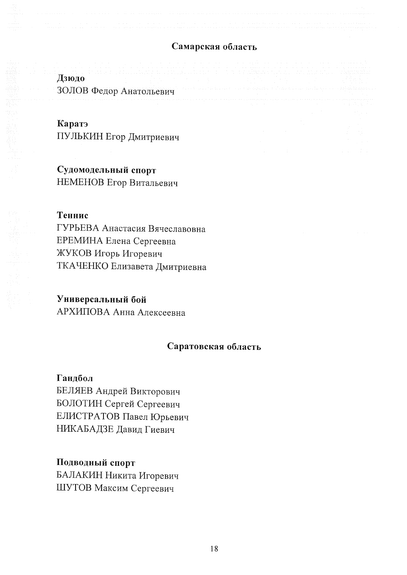#### Самарская область

# Дзюдо ЗОЛОВ Федор Анатольевич

## Каратэ

ПУЛЬКИН Егор Дмитриевич

Судомодельный спорт НЕМЕНОВ Егор Витальевич

#### Теннис

ГУРЬЕВА Анастасия Вячеславовна ЕРЕМИНА Елена Сергеевна ЖУКОВ Игорь Игоревич ТКАЧЕНКО Елизавета Дмитриевна

#### Универсальный бой

АРХИПОВА Анна Алексеевна

#### Саратовская область

Гандбол БЕЛЯЕВ Андрей Викторович БОЛОТИН Сергей Сергеевич ЕЛИСТРАТОВ Павел Юрьевич НИКАБАДЗЕ Давид Гиевич

Подводный спорт БАЛАКИН Никита Игоревич ШУТОВ Максим Сергеевич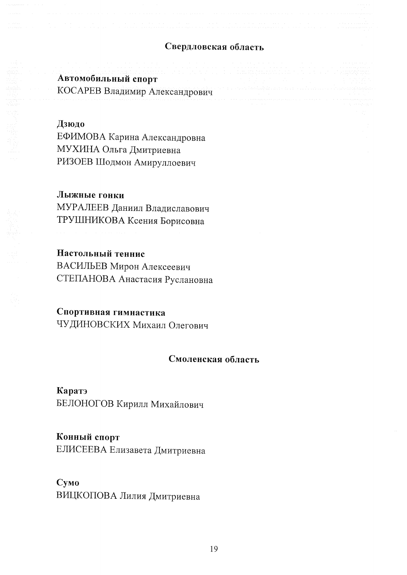### Свердловская область

## Автомобильный спорт

КОСАРЕВ Владимир Александрович

## Дзюдо

ЕФИМОВА Карина Александровна МУХИНА Ольга Дмитриевна РИЗОЕВ Шодмон Амируллоевич

## Лыжные гонки

МУРАЛЕЕВ Даниил Владиславович ТРУШНИКОВА Ксения Борисовна

## Настольный теннис

ВАСИЛЬЕВ Мирон Алексеевич СТЕПАНОВА Анастасия Руслановна

# Спортивная гимнастика

ЧУДИНОВСКИХ Михаил Олегович

#### Смоленская область

Каратэ БЕЛОНОГОВ Кирилл Михайлович

# Конный спорт

ЕЛИСЕЕВА Елизавета Дмитриевна

# Сумо ВИЦКОПОВА Лилия Дмитриевна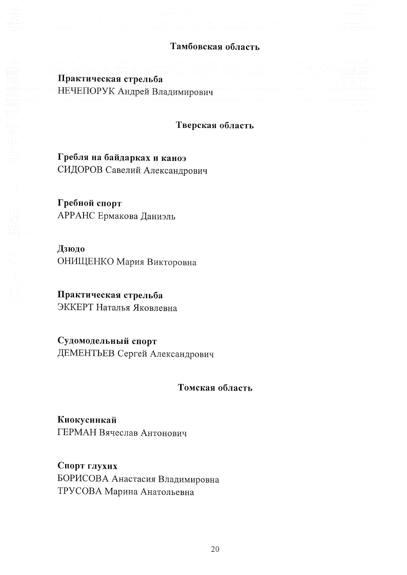### Тамбовская область

Практическая стрельба НЕЧЕПОРУК Андрей Владимирович

#### Тверская область

Гребля на байдарках и каноэ СИДОРОВ Савелий Александрович

Гребной спорт АРРАНС Ермакова Даниэль

## Дзюдо

ОНИЩЕНКО Мария Викторовна

# Практическая стрельба

ЭККЕРТ Наталья Яковлевна

Судомодельный спорт ДЕМЕНТЬЕВ Сергей Александрович

Томская область

Киокусинкай ГЕРМАН Вячеслав Антонович

Спорт глухих БОРИСОВА Анастасия Владимировна ТРУСОВА Марина Анатольевна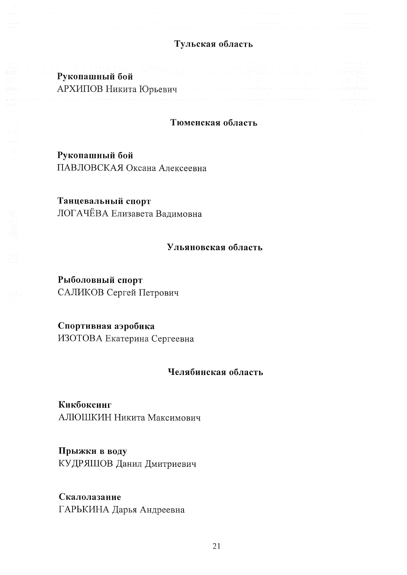## Тульская область

| in the companies and the companies of the companies of the companies of the companies of the companies of the second companies of the companies of the companies of the companies of the companies of the companies of the com<br>Рукопашный бой |  | an an thair an Daoine ann an chuid ann an chuid an chuid ann an chuid an Anaich an chuid an ainm air air aiche<br>the contract of the contract of<br>1000 PM A 2010 PM A 2010 PM A 2010 PM A 2010 PM A 2010 PM A 2010 PM A 2010 PM A 2010 PM A 2010 PM A 2010 PM A 20 |  | and the state of the state.                                                                                                                                                                                                                                          |
|--------------------------------------------------------------------------------------------------------------------------------------------------------------------------------------------------------------------------------------------------|--|-----------------------------------------------------------------------------------------------------------------------------------------------------------------------------------------------------------------------------------------------------------------------|--|----------------------------------------------------------------------------------------------------------------------------------------------------------------------------------------------------------------------------------------------------------------------|
| the control of the control of the con-<br>АРХИПОВ Никита Юрьевич                                                                                                                                                                                 |  |                                                                                                                                                                                                                                                                       |  | 그 사람들은 그 사람들은 아이들이 아니라 아이들은 아이들을 하고 있다. 이 사람들은 아이들이 아니라 아이들이 아니라 아이들이 아니라 아이들이 아니라 아이들이 아니라 아니라 아니라 아니라 아니라 아니라<br>e en 1970 en 1970 en 1970 en 1970 en 1970 met kant het en 1970 met konstanten en 1970 en 1970 maar handels kon<br>the contract of the contract of |
|                                                                                                                                                                                                                                                  |  |                                                                                                                                                                                                                                                                       |  |                                                                                                                                                                                                                                                                      |

#### Тюменская область

Рукопашный бой ПАВЛОВСКАЯ Оксана Алексеевна

Танцевальный спорт ЛОГАЧЁВА Елизавета Вадимовна

## Ульяновская область

Рыболовный спорт САЛИКОВ Сергей Петрович

Спортивная аэробика ИЗОТОВА Екатерина Сергеевна

### Челябинская область

Кикбоксинг АЛЮШКИН Никита Максимович

Прыжки в воду КУДРЯШОВ Данил Дмитриевич

Скалолазание ГАРЬКИНА Дарья Андреевна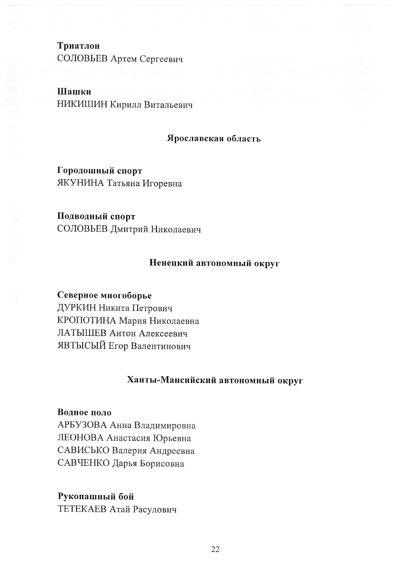Триатлон СОЛОВЬЕВ Артем Сергеевич

## Шашки НИКИШИН Кирилл Витальевич

### Ярославская область

Городошный спорт ЯКУНИНА Татьяна Игоревна

## Подводный спорт

СОЛОВЬЕВ Дмитрий Николаевич

#### Ненецкий автономный округ

### Северное многоборье

ДУРКИН Никита Петрович КРОПОТИНА Мария Николаевна ЛАТЫШЕВ Антон Алексеевич ЯВТЫСЫЙ Егор Валентинович

# Ханты-Мансийский автономный округ

#### Водное поло

АРБУЗОВА Анна Владимировна ЛЕОНОВА Анастасия Юрьевна САВИСЬКО Валерия Андреевна САВЧЕНКО Дарья Борисовна

#### Рукопашный бой

ТЕТЕКАЕВ Атай Расулович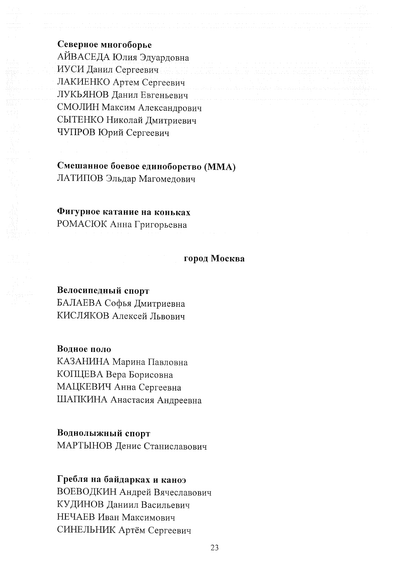Северное многоборье АЙВАСЕДА Юлия Эдуардовна ИУСИ Данил Сергеевич ЛАКИЕНКО Артем Сергеевич ЛУКЬЯНОВ Данил Евгеньевич СМОЛИН Максим Александрович СЫТЕНКО Николай Дмитриевич ЧУПРОВ Юрий Сергеевич

# Смешанное боевое единоборство (ММА) ЛАТИПОВ Эльдар Магомедович

#### Фигурное катание на коньках

РОМАСЮК Анна Григорьевна

#### город Москва

#### Велосипедный спорт

БАЛАЕВА Софья Дмитриевна КИСЛЯКОВ Алексей Львович

Водное поло

КАЗАНИНА Марина Павловна КОПЦЕВА Вера Борисовна МАЦКЕВИЧ Анна Сергеевна ШАПКИНА Анастасия Андреевна

#### Воднолыжный спорт

МАРТЫНОВ Денис Станиславович

### Гребля на байдарках и каноэ

ВОЕВОДКИН Андрей Вячеславович КУДИНОВ Даниил Васильевич НЕЧАЕВ Иван Максимович СИНЕЛЬНИК Артём Сергеевич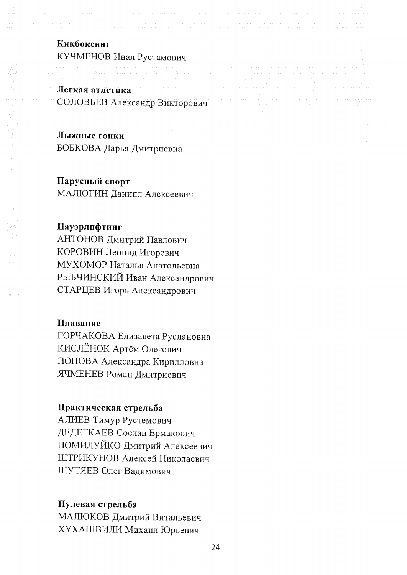## Кикбоксинг

КУЧМЕНОВ Инал Рустамович

## Легкая атлетика СОЛОВЬЕВ Александр Викторович

Лыжные гонки БОБКОВА Дарья Дмитриевна

#### Парусный спорт

МАЛЮГИН Даниил Алексеевич

#### Пауэрлифтинг

АНТОНОВ Дмитрий Павлович КОРОВИН Леонид Игоревич МУХОМОР Наталья Анатольевна РЫБЧИНСКИЙ Иван Александрович СТАРЦЕВ Игорь Александрович

#### Плавание

ГОРЧАКОВА Елизавета Руслановна КИСЛЁНОК Артём Олегович ПОПОВА Александра Кирилловна ЯЧМЕНЕВ Роман Дмитриевич

#### Практическая стрельба

АЛИЕВ Тимур Рустемович ДЕДЕГКАЕВ Сослан Ермакович ПОМИЛУЙКО Дмитрий Алексеевич ШТРИКУНОВ Алексей Николаевич ШУТЯЕВ Олег Вадимович

### Пулевая стрельба

МАЛЮКОВ Дмитрий Витальевич ХУХАШВИЛИ Михаил Юрьевич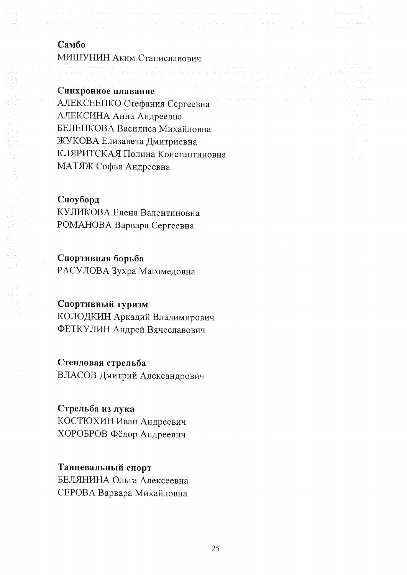## Самбо

МИШУНИН Аким Станиславович

Синхронное плавание

АЛЕКСЕЕНКО Стефания Сергеевна АЛЕКСИНА Анна Андреевна БЕЛЕНКОВА Василиса Михайловна ЖУКОВА Елизавета Дмитриевна КЛЯРИТСКАЯ Полина Константиновна МАТЯЖ Софья Андреевна

#### Сноуборд

КУЛИКОВА Елена Валентиновна РОМАНОВА Варвара Сергеевна

### Спортивная борьба

РАСУЛОВА Зухра Магомедовна

# Спортивный туризм

КОЛОДКИН Аркадий Владимирович ФЕТКУЛИН Андрей Вячеславович

### Стендовая стрельба

ВЛАСОВ Дмитрий Александрович

## Стрельба из лука

КОСТЮХИН Иван Андреевич ХОРОБРОВ Фёдор Андреевич

## Танцевальный спорт

БЕЛЯНИНА Ольга Алексеевна СЕРОВА Варвара Михайловна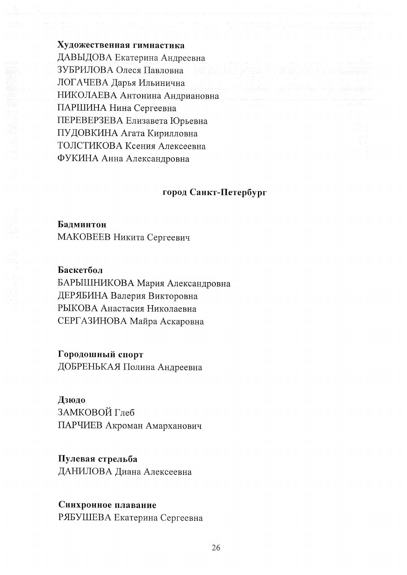Художественная гимнастика ДАВЫДОВА Екатерина Андреевна ЗУБРИЛОВА Олеся Павловна ЛОГАЧЕВА Дарья Ильинична НИКОЛАЕВА Антонина Андриановна ПАРШИНА Нина Сергеевна ПЕРЕВЕРЗЕВА Елизавета Юрьевна ПУДОВКИНА Агата Кирилловна ТОЛСТИКОВА Ксения Алексеевна ФУКИНА Анна Александровна

### город Санкт-Петербург

#### Бадминтон

МАКОВЕЕВ Никита Сергеевич

#### Баскетбол

БАРЫШНИКОВА Мария Александровна ДЕРЯБИНА Валерия Викторовна РЫКОВА Анастасия Николаевна СЕРГАЗИНОВА Майра Аскаровна

#### Городошный спорт

ДОБРЕНЬКАЯ Полина Андреевна

#### Дзюдо

ЗАМКОВОЙ Глеб ПАРЧИЕВ Акроман Амарханович

### Пулевая стрельба

ДАНИЛОВА Диана Алексеевна

## Синхронное плавание

РЯБУШЕВА Екатерина Сергеевна